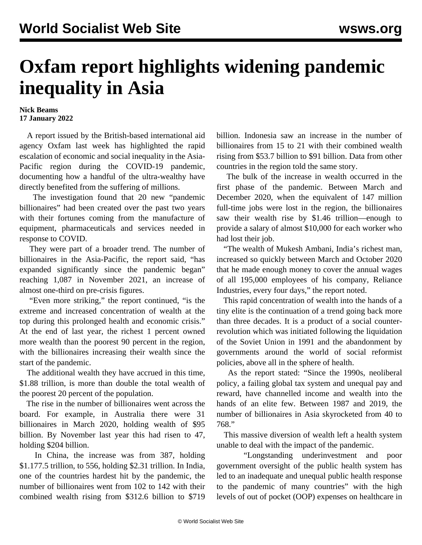## **Oxfam report highlights widening pandemic inequality in Asia**

## **Nick Beams 17 January 2022**

 A report issued by the British-based international aid agency Oxfam last week has highlighted the rapid escalation of economic and social inequality in the Asia-Pacific region during the COVID-19 pandemic, documenting how a handful of the ultra-wealthy have directly benefited from the suffering of millions.

 The investigation found that 20 new "pandemic billionaires" had been created over the past two years with their fortunes coming from the manufacture of equipment, pharmaceuticals and services needed in response to COVID.

 They were part of a broader trend. The number of billionaires in the Asia-Pacific, the report said, "has expanded significantly since the pandemic began" reaching 1,087 in November 2021, an increase of almost one-third on pre-crisis figures.

 "Even more striking," the report continued, "is the extreme and increased concentration of wealth at the top during this prolonged health and economic crisis." At the end of last year, the richest 1 percent owned more wealth than the poorest 90 percent in the region, with the billionaires increasing their wealth since the start of the pandemic.

 The additional wealth they have accrued in this time, \$1.88 trillion, is more than double the total wealth of the poorest 20 percent of the population.

 The rise in the number of billionaires went across the board. For example, in Australia there were 31 billionaires in March 2020, holding wealth of \$95 billion. By November last year this had risen to 47, holding \$204 billion.

 In China, the increase was from 387, holding \$1.177.5 trillion, to 556, holding \$2.31 trillion. In India, one of the countries hardest hit by the pandemic, the number of billionaires went from 102 to 142 with their combined wealth rising from \$312.6 billion to \$719

billion. Indonesia saw an increase in the number of billionaires from 15 to 21 with their combined wealth rising from \$53.7 billion to \$91 billion. Data from other countries in the region told the same story.

 The bulk of the increase in wealth occurred in the first phase of the pandemic. Between March and December 2020, when the equivalent of 147 million full-time jobs were lost in the region, the billionaires saw their wealth rise by \$1.46 trillion—enough to provide a salary of almost \$10,000 for each worker who had lost their job.

 "The wealth of Mukesh Ambani, India's richest man, increased so quickly between March and October 2020 that he made enough money to cover the annual wages of all 195,000 employees of his company, Reliance Industries, every four days," the report noted.

 This rapid concentration of wealth into the hands of a tiny elite is the continuation of a trend going back more than three decades. It is a product of a social counterrevolution which was initiated following the liquidation of the Soviet Union in 1991 and the abandonment by governments around the world of social reformist policies, above all in the sphere of health.

 As the report stated: "Since the 1990s, neoliberal policy, a failing global tax system and unequal pay and reward, have channelled income and wealth into the hands of an elite few. Between 1987 and 2019, the number of billionaires in Asia skyrocketed from 40 to 768."

 This massive diversion of wealth left a health system unable to deal with the impact of the pandemic.

 "Longstanding underinvestment and poor government oversight of the public health system has led to an inadequate and unequal public health response to the pandemic of many countries" with the high levels of out of pocket (OOP) expenses on healthcare in